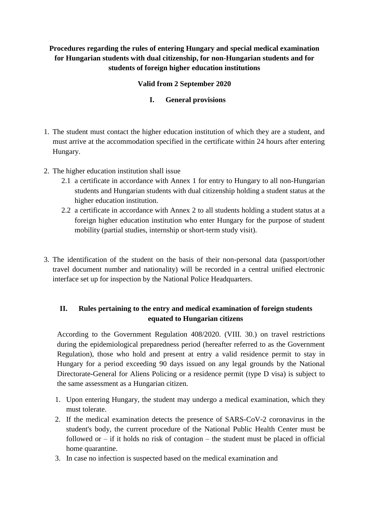### **Procedures regarding the rules of entering Hungary and special medical examination for Hungarian students with dual citizenship, for non-Hungarian students and for students of foreign higher education institutions**

#### **Valid from 2 September 2020**

#### **I. General provisions**

- 1. The student must contact the higher education institution of which they are a student, and must arrive at the accommodation specified in the certificate within 24 hours after entering Hungary.
- 2. The higher education institution shall issue
	- 2.1 a certificate in accordance with Annex 1 for entry to Hungary to all non-Hungarian students and Hungarian students with dual citizenship holding a student status at the higher education institution.
	- 2.2 a certificate in accordance with Annex 2 to all students holding a student status at a foreign higher education institution who enter Hungary for the purpose of student mobility (partial studies, internship or short-term study visit).
- 3. The identification of the student on the basis of their non-personal data (passport/other travel document number and nationality) will be recorded in a central unified electronic interface set up for inspection by the National Police Headquarters.

### **II. Rules pertaining to the entry and medical examination of foreign students equated to Hungarian citizens**

According to the Government Regulation 408/2020. (VIII. 30.) on travel restrictions during the epidemiological preparedness period (hereafter referred to as the Government Regulation), those who hold and present at entry a valid residence permit to stay in Hungary for a period exceeding 90 days issued on any legal grounds by the National Directorate-General for Aliens Policing or a residence permit (type D visa) is subject to the same assessment as a Hungarian citizen.

- 1. Upon entering Hungary, the student may undergo a medical examination, which they must tolerate.
- 2. If the medical examination detects the presence of SARS-CoV-2 coronavirus in the student's body, the current procedure of the National Public Health Center must be followed or  $-$  if it holds no risk of contagion  $-$  the student must be placed in official home quarantine.
- 3. In case no infection is suspected based on the medical examination and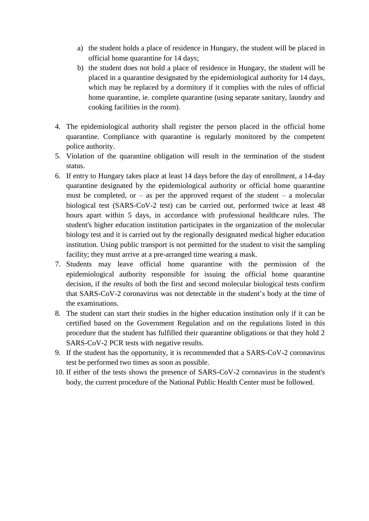- a) the student holds a place of residence in Hungary, the student will be placed in official home quarantine for 14 days;
- b) the student does not hold a place of residence in Hungary, the student will be placed in a quarantine designated by the epidemiological authority for 14 days, which may be replaced by a dormitory if it complies with the rules of official home quarantine, ie. complete quarantine (using separate sanitary, laundry and cooking facilities in the room).
- 4. The epidemiological authority shall register the person placed in the official home quarantine. Compliance with quarantine is regularly monitored by the competent police authority.
- 5. Violation of the quarantine obligation will result in the termination of the student status.
- 6. If entry to Hungary takes place at least 14 days before the day of enrollment, a 14-day quarantine designated by the epidemiological authority or official home quarantine must be completed, or  $-$  as per the approved request of the student  $-$  a molecular biological test (SARS-CoV-2 test) can be carried out, performed twice at least 48 hours apart within 5 days, in accordance with professional healthcare rules. The student's higher education institution participates in the organization of the molecular biology test and it is carried out by the regionally designated medical higher education institution. Using public transport is not permitted for the student to visit the sampling facility; they must arrive at a pre-arranged time wearing a mask.
- 7. Students may leave official home quarantine with the permission of the epidemiological authority responsible for issuing the official home quarantine decision, if the results of both the first and second molecular biological tests confirm that SARS-CoV-2 coronavirus was not detectable in the student's body at the time of the examinations.
- 8. The student can start their studies in the higher education institution only if it can be certified based on the Government Regulation and on the regulations listed in this procedure that the student has fulfilled their quarantine obligations or that they hold 2 SARS-CoV-2 PCR tests with negative results.
- 9. If the student has the opportunity, it is recommended that a SARS-CoV-2 coronavirus test be performed two times as soon as possible.
- 10. If either of the tests shows the presence of SARS-CoV-2 coronavirus in the student's body, the current procedure of the National Public Health Center must be followed.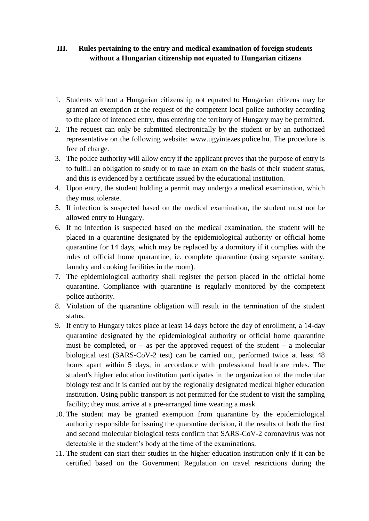### **III. Rules pertaining to the entry and medical examination of foreign students without a Hungarian citizenship not equated to Hungarian citizens**

- 1. Students without a Hungarian citizenship not equated to Hungarian citizens may be granted an exemption at the request of the competent local police authority according to the place of intended entry, thus entering the territory of Hungary may be permitted.
- 2. The request can only be submitted electronically by the student or by an authorized representative on the following website: www.ugyintezes.police.hu. The procedure is free of charge.
- 3. The police authority will allow entry if the applicant proves that the purpose of entry is to fulfill an obligation to study or to take an exam on the basis of their student status, and this is evidenced by a certificate issued by the educational institution.
- 4. Upon entry, the student holding a permit may undergo a medical examination, which they must tolerate.
- 5. If infection is suspected based on the medical examination, the student must not be allowed entry to Hungary.
- 6. If no infection is suspected based on the medical examination, the student will be placed in a quarantine designated by the epidemiological authority or official home quarantine for 14 days, which may be replaced by a dormitory if it complies with the rules of official home quarantine, ie. complete quarantine (using separate sanitary, laundry and cooking facilities in the room).
- 7. The epidemiological authority shall register the person placed in the official home quarantine. Compliance with quarantine is regularly monitored by the competent police authority.
- 8. Violation of the quarantine obligation will result in the termination of the student status.
- 9. If entry to Hungary takes place at least 14 days before the day of enrollment, a 14-day quarantine designated by the epidemiological authority or official home quarantine must be completed, or  $-$  as per the approved request of the student  $-$  a molecular biological test (SARS-CoV-2 test) can be carried out, performed twice at least 48 hours apart within 5 days, in accordance with professional healthcare rules. The student's higher education institution participates in the organization of the molecular biology test and it is carried out by the regionally designated medical higher education institution. Using public transport is not permitted for the student to visit the sampling facility; they must arrive at a pre-arranged time wearing a mask.
- 10. The student may be granted exemption from quarantine by the epidemiological authority responsible for issuing the quarantine decision, if the results of both the first and second molecular biological tests confirm that SARS-CoV-2 coronavirus was not detectable in the student's body at the time of the examinations.
- 11. The student can start their studies in the higher education institution only if it can be certified based on the Government Regulation on travel restrictions during the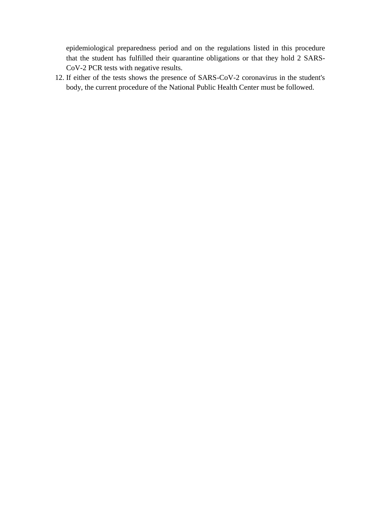epidemiological preparedness period and on the regulations listed in this procedure that the student has fulfilled their quarantine obligations or that they hold 2 SARS-CoV-2 PCR tests with negative results.

12. If either of the tests shows the presence of SARS-CoV-2 coronavirus in the student's body, the current procedure of the National Public Health Center must be followed.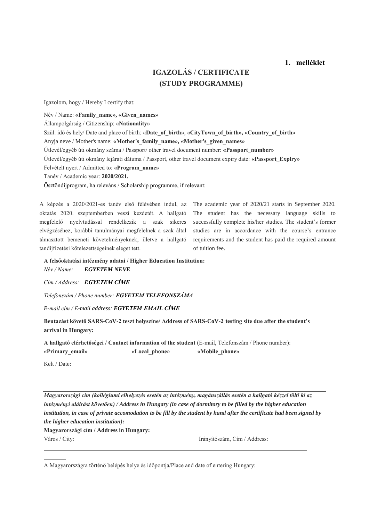#### **1. melléklet**

## **IGAZOLÁS / CERTIFICATE (STUDY PROGRAMME)**

Igazolom, hogy / Hereby I certify that:

Név / Name: **«Family\_name», «Given\_names»** Állampolgárság / Citizenship: **«Nationality»** Szül. idő és hely/ Date and place of birth: **«Date\_of\_birth»**, **«CityTown\_of\_birth», «Country\_of\_birth»** Anyja neve / Mother's name: **«Mother's\_family\_name», «Mother's\_given\_names»** Útlevél/egyéb úti okmány száma / Passport/ other travel document number: **«Passport\_number»** Útlevél/egyéb úti okmány lejárati dátuma / Passport, other travel document expiry date: **«Passport\_Expiry»** Felvételt nyert / Admitted to: **«Program\_name»** Tanév / Academic year: **2020/2021.** Ösztöndíjprogram, ha releváns / Scholarship programme, if relevant:

A képzés a 2020/2021-es tanév első félévében indul, az oktatás 2020. szeptemberben veszi kezdetét. A hallgató megfelelő nyelvtudással rendelkezik a szak sikeres elvégzéséhez, korábbi tanulmányai megfelelnek a szak által támasztott bemeneti követelményeknek, illetve a hallgató tandíjfizetési kötelezettségeinek eleget tett.

The academic year of 2020/21 starts in September 2020. The student has the necessary language skills to successfully complete his/her studies. The student's former studies are in accordance with the course's entrance requirements and the student has paid the required amount of tuition fee.

**A felsőoktatási intézmény adatai / Higher Education Institution:**

*Név / Name: EGYETEM NEVE*

*Cím / Address: EGYETEM CÍME*

*Telefonszám / Phone number: EGYETEM TELEFONSZÁMA*

*E-mail cím / E-mail address: EGYETEM EMAIL CÍME* 

**Beutazást követő SARS-CoV-2 teszt helyszíne/ Address of SARS-CoV-2 testing site due after the student's arrival in Hungary:**

**A hallgató elérhetőségei / Contact information of the student** (E-mail, Telefonszám / Phone number): **«Primary\_email» «Local\_phone» «Mobile\_phone»**

Kelt / Date:

*Magyarországi cím (kollégiumi elhelyezés esetén az intézmény, magánszállás esetén a hallgató kézzel tölti ki az intézményi aláírást követően) / Address in Hungary (in case of dormitory to be filled by the higher education institution, in case of private accomodation to be fill by the student by hand after the certificate had been signed by the higher education institution):*

**Magyarországi cím / Address in Hungary:**

Város / City: Irányítószám, Cím / Address:

A Magyarországra történő belépés helye és időpontja/Place and date of entering Hungary: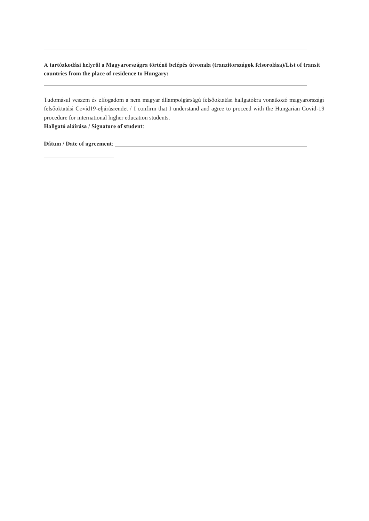**A tartózkodási helyről a Magyarországra történő belépés útvonala (tranzitországok felsorolása)/List of transit countries from the place of residence to Hungary:** 

Tudomásul veszem és elfogadom a nem magyar állampolgárságú felsőoktatási hallgatókra vonatkozó magyarországi felsőoktatási Covid19-eljárásrendet / I confirm that I understand and agree to proceed with the Hungarian Covid-19 procedure for international higher education students.

**Hallgató aláírása / Signature of student**:

**Dátum / Date of agreement**: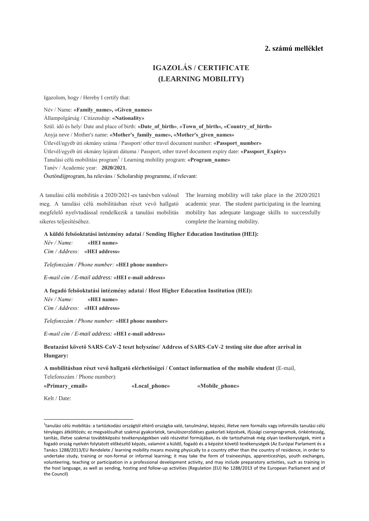#### **2. számú melléklet**

# **IGAZOLÁS / CERTIFICATE (LEARNING MOBILITY)**

Igazolom, hogy / Hereby I certify that:

Név / Name: **«Family\_name», «Given\_names»**

Állampolgárság / Citizenship: **«Nationality»**

Szül. idő és hely/ Date and place of birth: **«Date\_of\_birth»**, **«Town\_of\_birth», «Country\_of\_birth»**

Anyja neve / Mother's name: **«Mother's\_family\_name», «Mother's\_given\_names»**

Útlevél/egyéb úti okmány száma / Passport/ other travel document number: **«Passport\_number»**

Útlevél/egyéb úti okmány lejárati dátuma / Passport, other travel document expiry date: **«Passport\_Expiry»**

Tanulási célú mobilitási program<sup>1</sup> / Learning mobility program: **«Program\_name»**

Tanév / Academic year: **2020/2021.**

Ösztöndíjprogram, ha releváns / Scholarship programme, if relevant:

A tanulási célú mobilitás a 2020/2021-es tanévben valósul meg. A tanulási célú mobilitásban részt vevő hallgató megfelelő nyelvtudással rendelkezik a tanulási mobilitás sikeres teljesítéséhez.

The learning mobility will take place in the 2020/2021 academic year. The student participating in the learning mobility has adequate language skills to successfully complete the learning mobility.

**A küldő felsőoktatási intézmény adatai / Sending Higher Education Institution (HEI):**

*Név / Name:* **«HEI name»**

*Cím / Address:* **«HEI address»**

*Telefonszám / Phone number:* **«HEI phone number»**

*E-mail cím / E-mail address:* **«HEI e-mail address»**

**A fogadó felsőoktatási intézmény adatai / Host Higher Education Institution (HEI):**

*Név / Name:* **«HEI name»** *Cím / Address:* **«HEI address»**

*Telefonszám / Phone number:* **«HEI phone number»**

*E-mail cím / E-mail address:* **«HEI e-mail address»**

**Beutazást követő SARS-CoV-2 teszt helyszíne/ Address of SARS-CoV-2 testing site due after arrival in Hungary:**

**A mobilitásban részt vevő hallgató elérhetőségei / Contact information of the mobile student** (E-mail,

Telefonszám / Phone number):

**«Primary\_email» «Local\_phone» «Mobile\_phone»**

Kelt / Date:

**.** 

<sup>1</sup>tanulási célú mobilitás: a tartózkodási országtól eltérő országba való, tanulmányi, képzési, illetve nem formális vagy informális tanulási célú tényleges átköltözés; ez megvalósulhat szakmai gyakorlatok, tanulószerződéses gyakorlati képzések, ifjúsági csereprogramok, önkéntesség, tanítás, illetve szakmai továbbképzési tevékenységekben való részvétel formájában, és ide tartozhatnak még olyan tevékenységek, mint a fogadó ország nyelvén folytatott előkészítő képzés, valamint a küldő, fogadó és a képzést követő tevékenységek (Az Európai Parlament és a Tanács 1288/2013/EU Rendelete / learning mobility means moving physically to a country other than the country of residence, in order to undertake study, training or non-formal or informal learning; it may take the form of traineeships, apprenticeships, youth exchanges, volunteering, teaching or participation in a professional development activity, and may include preparatory activities, such as training in the host language, as well as sending, hosting and follow-up activities (Regulation (EU) No 1288/2013 of the European Parliament and of the Council)